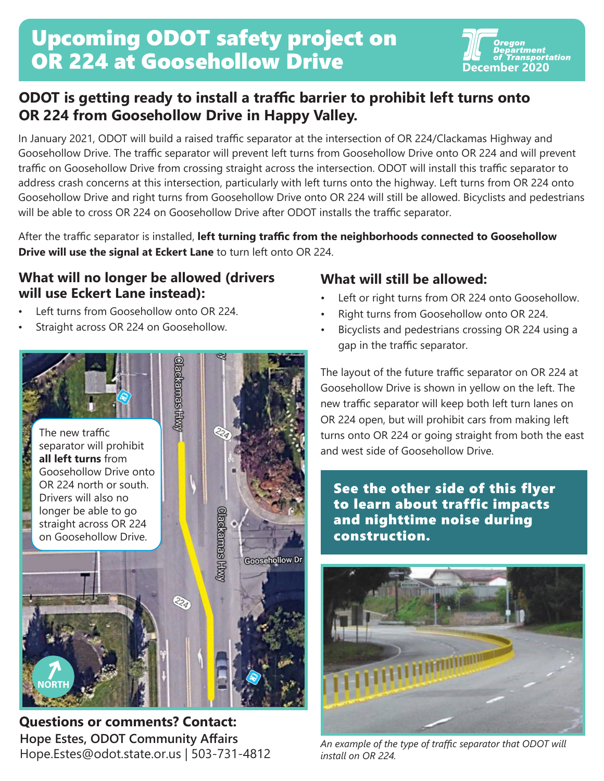# Upcoming ODOT safety project on **OR 224 at Goosehollow Drive Concember 2020**



## **ODOT is getting ready to install a traffic barrier to prohibit left turns onto OR 224 from Goosehollow Drive in Happy Valley.**

In January 2021, ODOT will build a raised traffic separator at the intersection of OR 224/Clackamas Highway and Goosehollow Drive. The traffic separator will prevent left turns from Goosehollow Drive onto OR 224 and will prevent traffic on Goosehollow Drive from crossing straight across the intersection. ODOT will install this traffic separator to address crash concerns at this intersection, particularly with left turns onto the highway. Left turns from OR 224 onto Goosehollow Drive and right turns from Goosehollow Drive onto OR 224 will still be allowed. Bicyclists and pedestrians will be able to cross OR 224 on Goosehollow Drive after ODOT installs the traffic separator.

After the traffic separator is installed, **left turning traffic from the neighborhoods connected to Goosehollow Drive will use the signal at Eckert Lane** to turn left onto OR 224.

#### **What will no longer be allowed (drivers What will still be allowed: will use Eckert Lane instead):**

- Left turns from Goosehollow onto OR 224.
- Straight across OR 224 on Goosehollow.



**Hope Estes, ODOT Community Affairs** Hope.Estes@odot.state.or.us | 503-731-4812 **Questions or comments? Contact:**

- Left or right turns from OR 224 onto Goosehollow.
- Right turns from Goosehollow onto OR 224.
- Bicyclists and pedestrians crossing OR 224 using a gap in the traffic separator.

The layout of the future traffic separator on OR 224 at Goosehollow Drive is shown in yellow on the left. The new traffic separator will keep both left turn lanes on OR 224 open, but will prohibit cars from making left turns onto OR 224 or going straight from both the east and west side of Goosehollow Drive.

See the other side of this flyer to learn about traffic impacts and nighttime noise during construction.



*An example of the type of traffic separator that ODOT will install on OR 224.*